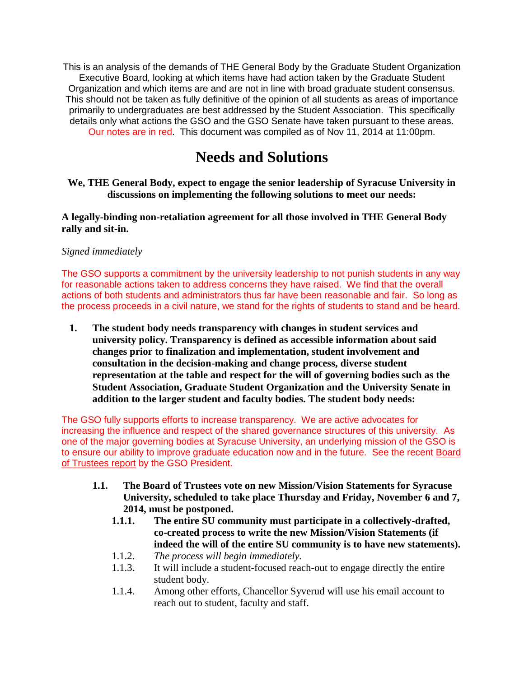This is an analysis of the demands of THE General Body by the Graduate Student Organization Executive Board, looking at which items have had action taken by the Graduate Student Organization and which items are and are not in line with broad graduate student consensus. This should not be taken as fully definitive of the opinion of all students as areas of importance primarily to undergraduates are best addressed by the Student Association. This specifically details only what actions the GSO and the GSO Senate have taken pursuant to these areas. Our notes are in red. This document was compiled as of Nov 11, 2014 at 11:00pm.

# **Needs and Solutions**

**We, THE General Body, expect to engage the senior leadership of Syracuse University in discussions on implementing the following solutions to meet our needs:**

**A legally-binding non-retaliation agreement for all those involved in THE General Body rally and sit-in.** 

#### *Signed immediately*

The GSO supports a commitment by the university leadership to not punish students in any way for reasonable actions taken to address concerns they have raised. We find that the overall actions of both students and administrators thus far have been reasonable and fair. So long as the process proceeds in a civil nature, we stand for the rights of students to stand and be heard.

**1. The student body needs transparency with changes in student services and university policy. Transparency is defined as accessible information about said changes prior to finalization and implementation, student involvement and consultation in the decision-making and change process, diverse student representation at the table and respect for the will of governing bodies such as the Student Association, Graduate Student Organization and the University Senate in addition to the larger student and faculty bodies. The student body needs:**

The GSO fully supports efforts to increase transparency. We are active advocates for increasing the influence and respect of the shared governance structures of this university. As one of the major governing bodies at Syracuse University, an underlying mission of the GSO is to ensure our ability to improve graduate education now and in the future. See the recent [Board](http://gradorg.syr.edu/wp-content/uploads/2012/06/2014-11-07-Board-of-Trustees-Graduate-Report.pdf)  [of Trustees report](http://gradorg.syr.edu/wp-content/uploads/2012/06/2014-11-07-Board-of-Trustees-Graduate-Report.pdf) by the GSO President.

- **1.1. The Board of Trustees vote on new Mission/Vision Statements for Syracuse University, scheduled to take place Thursday and Friday, November 6 and 7, 2014, must be postponed.** 
	- **1.1.1. The entire SU community must participate in a collectively-drafted, co-created process to write the new Mission/Vision Statements (if indeed the will of the entire SU community is to have new statements).**
	- 1.1.2. *The process will begin immediately.*
	- 1.1.3. It will include a student-focused reach-out to engage directly the entire student body.
	- 1.1.4. Among other efforts, Chancellor Syverud will use his email account to reach out to student, faculty and staff.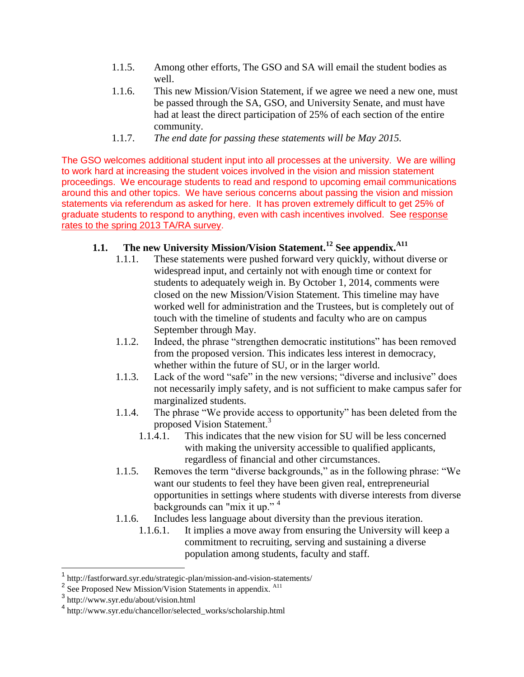- 1.1.5. Among other efforts, The GSO and SA will email the student bodies as well.
- 1.1.6. This new Mission/Vision Statement, if we agree we need a new one, must be passed through the SA, GSO, and University Senate, and must have had at least the direct participation of 25% of each section of the entire community.
- 1.1.7. *The end date for passing these statements will be May 2015.*

The GSO welcomes additional student input into all processes at the university. We are willing to work hard at increasing the student voices involved in the vision and mission statement proceedings. We encourage students to read and respond to upcoming email communications around this and other topics. We have serious concerns about passing the vision and mission statements via referendum as asked for here. It has proven extremely difficult to get 25% of graduate students to respond to anything, even with cash incentives involved. See response [rates to the spring 2013 TA/RA survey.](http://gradorg.syr.edu/resources/survey-results/)

# **1.1. The new University Mission/Vision Statement.<sup>12</sup> See appendix.A11**

- 1.1.1. These statements were pushed forward very quickly, without diverse or widespread input, and certainly not with enough time or context for students to adequately weigh in. By October 1, 2014, comments were closed on the new Mission/Vision Statement. This timeline may have worked well for administration and the Trustees, but is completely out of touch with the timeline of students and faculty who are on campus September through May.
- 1.1.2. Indeed, the phrase "strengthen democratic institutions" has been removed from the proposed version. This indicates less interest in democracy, whether within the future of SU, or in the larger world.
- 1.1.3. Lack of the word "safe" in the new versions; "diverse and inclusive" does not necessarily imply safety, and is not sufficient to make campus safer for marginalized students.
- 1.1.4. The phrase "We provide access to opportunity" has been deleted from the proposed Vision Statement.<sup>3</sup>
	- 1.1.4.1. This indicates that the new vision for SU will be less concerned with making the university accessible to qualified applicants, regardless of financial and other circumstances.
- 1.1.5. Removes the term "diverse backgrounds," as in the following phrase: "We want our students to feel they have been given real, entrepreneurial opportunities in settings where students with diverse interests from diverse backgrounds can "mix it up." <sup>4</sup>
- 1.1.6. Includes less language about diversity than the previous iteration.
	- 1.1.6.1. It implies a move away from ensuring the University will keep a commitment to recruiting, serving and sustaining a diverse population among students, faculty and staff.

 $\overline{a}$ 

<sup>1</sup> http://fastforward.syr.edu/strategic-plan/mission-and-vision-statements/

<sup>&</sup>lt;sup>2</sup> See Proposed New Mission/Vision Statements in appendix. <sup>A11</sup>

<sup>3</sup> http://www.syr.edu/about/vision.html

<sup>4</sup> http://www.syr.edu/chancellor/selected\_works/scholarship.html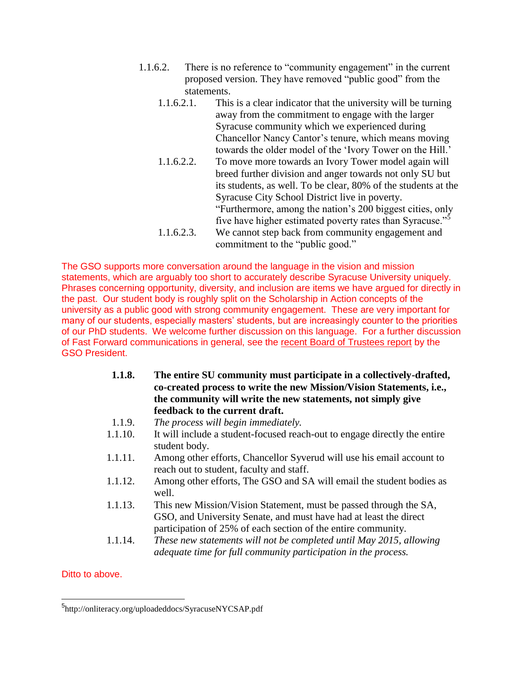- 1.1.6.2. There is no reference to "community engagement" in the current proposed version. They have removed "public good" from the statements.
	- 1.1.6.2.1. This is a clear indicator that the university will be turning away from the commitment to engage with the larger Syracuse community which we experienced during Chancellor Nancy Cantor's tenure, which means moving towards the older model of the 'Ivory Tower on the Hill.'
	- 1.1.6.2.2. To move more towards an Ivory Tower model again will breed further division and anger towards not only SU but its students, as well. To be clear, 80% of the students at the Syracuse City School District live in poverty. "Furthermore, among the nation's 200 biggest cities, only five have higher estimated poverty rates than Syracuse."<sup>5</sup> 1.1.6.2.3. We cannot step back from community engagement and
	- commitment to the "public good."

The GSO supports more conversation around the language in the vision and mission statements, which are arguably too short to accurately describe Syracuse University uniquely. Phrases concerning opportunity, diversity, and inclusion are items we have argued for directly in the past. Our student body is roughly split on the Scholarship in Action concepts of the university as a public good with strong community engagement. These are very important for many of our students, especially masters' students, but are increasingly counter to the priorities of our PhD students. We welcome further discussion on this language. For a further discussion of Fast Forward communications in general, see the [recent Board of Trustees report](http://gradorg.syr.edu/wp-content/uploads/2012/06/2014-11-07-Board-of-Trustees-Graduate-Report.pdf) by the GSO President.

- **1.1.8. The entire SU community must participate in a collectively-drafted, co-created process to write the new Mission/Vision Statements, i.e., the community will write the new statements, not simply give feedback to the current draft.**
- 1.1.9. *The process will begin immediately.*
- 1.1.10. It will include a student-focused reach-out to engage directly the entire student body.
- 1.1.11. Among other efforts, Chancellor Syverud will use his email account to reach out to student, faculty and staff.
- 1.1.12. Among other efforts, The GSO and SA will email the student bodies as well.
- 1.1.13. This new Mission/Vision Statement, must be passed through the SA, GSO, and University Senate, and must have had at least the direct participation of 25% of each section of the entire community.
- 1.1.14. *These new statements will not be completed until May 2015, allowing adequate time for full community participation in the process.*

Ditto to above.

 $\overline{a}$ 

<sup>&</sup>lt;sup>5</sup>http://onliteracy.org/uploadeddocs/SyracuseNYCSAP.pdf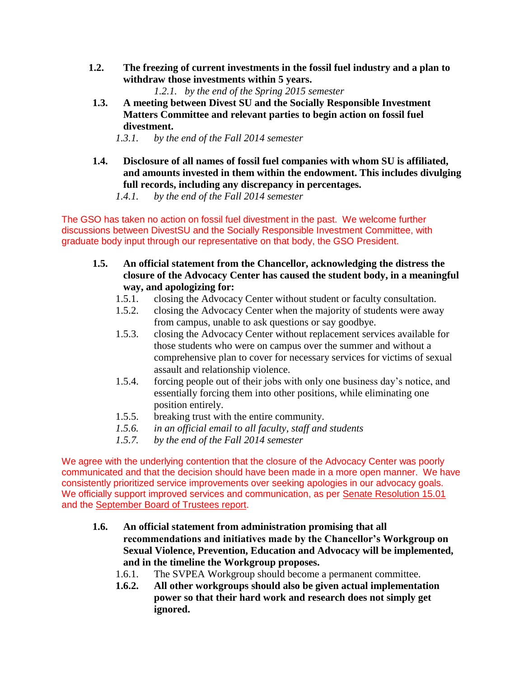- **1.2. The freezing of current investments in the fossil fuel industry and a plan to withdraw those investments within 5 years.**
	- *1.2.1. by the end of the Spring 2015 semester*
- **1.3. A meeting between Divest SU and the Socially Responsible Investment Matters Committee and relevant parties to begin action on fossil fuel divestment.**
	- *1.3.1. by the end of the Fall 2014 semester*
- **1.4. Disclosure of all names of fossil fuel companies with whom SU is affiliated, and amounts invested in them within the endowment. This includes divulging full records, including any discrepancy in percentages.**
	- *1.4.1. by the end of the Fall 2014 semester*

The GSO has taken no action on fossil fuel divestment in the past. We welcome further discussions between DivestSU and the Socially Responsible Investment Committee, with graduate body input through our representative on that body, the GSO President.

- **1.5. An official statement from the Chancellor, acknowledging the distress the closure of the Advocacy Center has caused the student body, in a meaningful way, and apologizing for:** 
	- 1.5.1. closing the Advocacy Center without student or faculty consultation.
	- 1.5.2. closing the Advocacy Center when the majority of students were away from campus, unable to ask questions or say goodbye.
	- 1.5.3. closing the Advocacy Center without replacement services available for those students who were on campus over the summer and without a comprehensive plan to cover for necessary services for victims of sexual assault and relationship violence.
	- 1.5.4. forcing people out of their jobs with only one business day's notice, and essentially forcing them into other positions, while eliminating one position entirely.
	- 1.5.5. breaking trust with the entire community.
	- *1.5.6. in an official email to all faculty, staff and students*
	- *1.5.7. by the end of the Fall 2014 semester*

We agree with the underlying contention that the closure of the Advocacy Center was poorly communicated and that the decision should have been made in a more open manner. We have consistently prioritized service improvements over seeking apologies in our advocacy goals. We officially support improved services and communication, as per [Senate Resolution 15.01](http://gradorg.syr.edu/wp-content/uploads/2012/08/15.01-Senate-Resolution-Advocacy-Center.pdf) and the [September Board of Trustees report.](http://gradorg.syr.edu/wp-content/uploads/2012/06/2014-09-11-Trustees-Executive-Committee-Report.pdf)

- **1.6. An official statement from administration promising that all recommendations and initiatives made by the Chancellor's Workgroup on Sexual Violence, Prevention, Education and Advocacy will be implemented, and in the timeline the Workgroup proposes.**
	- 1.6.1. The SVPEA Workgroup should become a permanent committee.
	- **1.6.2. All other workgroups should also be given actual implementation power so that their hard work and research does not simply get ignored.**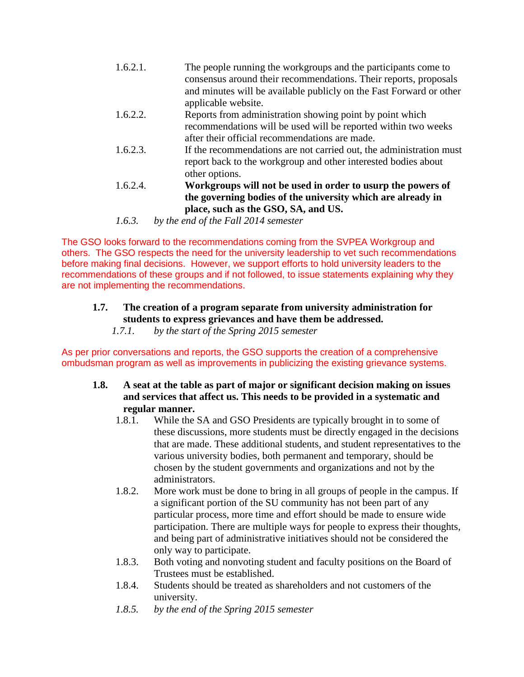| 1.6.2.1. | The people running the workgroups and the participants come to<br>consensus around their recommendations. Their reports, proposals<br>and minutes will be available publicly on the Fast Forward or other |
|----------|-----------------------------------------------------------------------------------------------------------------------------------------------------------------------------------------------------------|
|          | applicable website.                                                                                                                                                                                       |
| 1.6.2.2. | Reports from administration showing point by point which                                                                                                                                                  |
|          | recommendations will be used will be reported within two weeks                                                                                                                                            |
|          | after their official recommendations are made.                                                                                                                                                            |
| 1.6.2.3. | If the recommendations are not carried out, the administration must                                                                                                                                       |
|          | report back to the workgroup and other interested bodies about                                                                                                                                            |
|          | other options.                                                                                                                                                                                            |
| 1.6.2.4. | Workgroups will not be used in order to usurp the powers of                                                                                                                                               |

- **the governing bodies of the university which are already in place, such as the GSO, SA, and US.**
- *1.6.3. by the end of the Fall 2014 semester*

The GSO looks forward to the recommendations coming from the SVPEA Workgroup and others. The GSO respects the need for the university leadership to vet such recommendations before making final decisions. However, we support efforts to hold university leaders to the recommendations of these groups and if not followed, to issue statements explaining why they are not implementing the recommendations.

## **1.7. The creation of a program separate from university administration for students to express grievances and have them be addressed.**

*1.7.1. by the start of the Spring 2015 semester*

As per prior conversations and reports, the GSO supports the creation of a comprehensive ombudsman program as well as improvements in publicizing the existing grievance systems.

- **1.8. A seat at the table as part of major or significant decision making on issues and services that affect us. This needs to be provided in a systematic and regular manner.**
	- 1.8.1. While the SA and GSO Presidents are typically brought in to some of these discussions, more students must be directly engaged in the decisions that are made. These additional students, and student representatives to the various university bodies, both permanent and temporary, should be chosen by the student governments and organizations and not by the administrators.
	- 1.8.2. More work must be done to bring in all groups of people in the campus. If a significant portion of the SU community has not been part of any particular process, more time and effort should be made to ensure wide participation. There are multiple ways for people to express their thoughts, and being part of administrative initiatives should not be considered the only way to participate.
	- 1.8.3. Both voting and nonvoting student and faculty positions on the Board of Trustees must be established.
	- 1.8.4. Students should be treated as shareholders and not customers of the university.
	- *1.8.5. by the end of the Spring 2015 semester*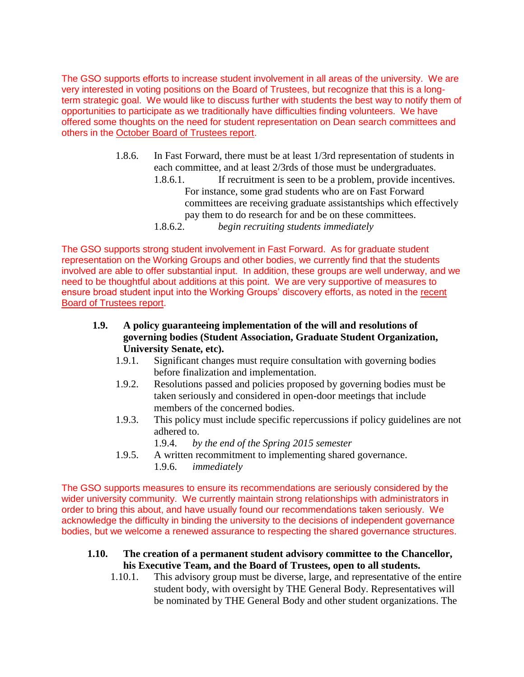The GSO supports efforts to increase student involvement in all areas of the university. We are very interested in voting positions on the Board of Trustees, but recognize that this is a longterm strategic goal. We would like to discuss further with students the best way to notify them of opportunities to participate as we traditionally have difficulties finding volunteers. We have offered some thoughts on the need for student representation on Dean search committees and others in the [October Board of Trustees report.](http://gradorg.syr.edu/wp-content/uploads/2012/06/2014-10-09-Trustees-Executive-Committee-Report.pdf)

- 1.8.6. In Fast Forward, there must be at least 1/3rd representation of students in each committee, and at least 2/3rds of those must be undergraduates.
	- 1.8.6.1. If recruitment is seen to be a problem, provide incentives. For instance, some grad students who are on Fast Forward committees are receiving graduate assistantships which effectively pay them to do research for and be on these committees.
	- 1.8.6.2. *begin recruiting students immediately*

The GSO supports strong student involvement in Fast Forward. As for graduate student representation on the Working Groups and other bodies, we currently find that the students involved are able to offer substantial input. In addition, these groups are well underway, and we need to be thoughtful about additions at this point. We are very supportive of measures to ensure broad student input into the Working Groups' discovery efforts, as noted in the [recent](http://gradorg.syr.edu/wp-content/uploads/2012/06/2014-11-07-Board-of-Trustees-Graduate-Report.pdf)  [Board of Trustees report.](http://gradorg.syr.edu/wp-content/uploads/2012/06/2014-11-07-Board-of-Trustees-Graduate-Report.pdf)

- **1.9. A policy guaranteeing implementation of the will and resolutions of governing bodies (Student Association, Graduate Student Organization, University Senate, etc).**
	- 1.9.1. Significant changes must require consultation with governing bodies before finalization and implementation.
	- 1.9.2. Resolutions passed and policies proposed by governing bodies must be taken seriously and considered in open-door meetings that include members of the concerned bodies.
	- 1.9.3. This policy must include specific repercussions if policy guidelines are not adhered to.

1.9.4. *by the end of the Spring 2015 semester*

1.9.5. A written recommitment to implementing shared governance. 1.9.6. *immediately*

The GSO supports measures to ensure its recommendations are seriously considered by the wider university community. We currently maintain strong relationships with administrators in order to bring this about, and have usually found our recommendations taken seriously. We acknowledge the difficulty in binding the university to the decisions of independent governance bodies, but we welcome a renewed assurance to respecting the shared governance structures.

- **1.10. The creation of a permanent student advisory committee to the Chancellor, his Executive Team, and the Board of Trustees, open to all students.** 
	- 1.10.1. This advisory group must be diverse, large, and representative of the entire student body, with oversight by THE General Body. Representatives will be nominated by THE General Body and other student organizations. The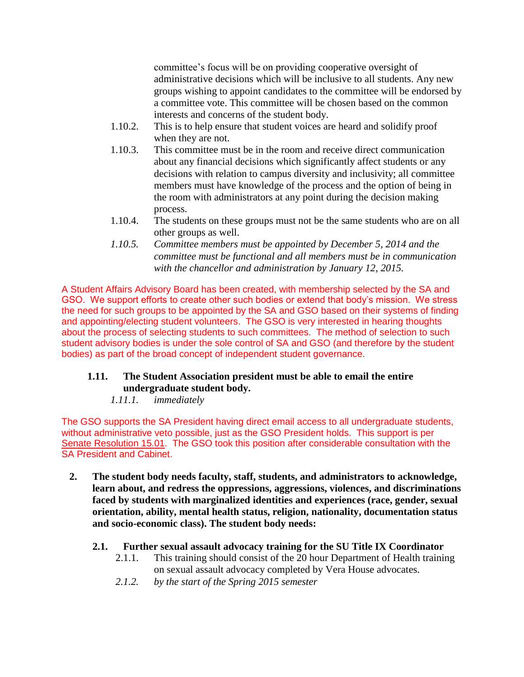committee's focus will be on providing cooperative oversight of administrative decisions which will be inclusive to all students. Any new groups wishing to appoint candidates to the committee will be endorsed by a committee vote. This committee will be chosen based on the common interests and concerns of the student body.

- 1.10.2. This is to help ensure that student voices are heard and solidify proof when they are not.
- 1.10.3. This committee must be in the room and receive direct communication about any financial decisions which significantly affect students or any decisions with relation to campus diversity and inclusivity; all committee members must have knowledge of the process and the option of being in the room with administrators at any point during the decision making process.
- 1.10.4. The students on these groups must not be the same students who are on all other groups as well.
- *1.10.5. Committee members must be appointed by December 5, 2014 and the committee must be functional and all members must be in communication with the chancellor and administration by January 12, 2015.*

A Student Affairs Advisory Board has been created, with membership selected by the SA and GSO. We support efforts to create other such bodies or extend that body's mission. We stress the need for such groups to be appointed by the SA and GSO based on their systems of finding and appointing/electing student volunteers. The GSO is very interested in hearing thoughts about the process of selecting students to such committees. The method of selection to such student advisory bodies is under the sole control of SA and GSO (and therefore by the student bodies) as part of the broad concept of independent student governance.

## **1.11. The Student Association president must be able to email the entire undergraduate student body.**

*1.11.1. immediately*

The GSO supports the SA President having direct email access to all undergraduate students, without administrative veto possible, just as the GSO President holds. This support is per [Senate Resolution 15.01.](http://gradorg.syr.edu/wp-content/uploads/2012/08/15.01-Senate-Resolution-Advocacy-Center.pdf) The GSO took this position after considerable consultation with the SA President and Cabinet.

**2. The student body needs faculty, staff, students, and administrators to acknowledge, learn about, and redress the oppressions, aggressions, violences, and discriminations faced by students with marginalized identities and experiences (race, gender, sexual orientation, ability, mental health status, religion, nationality, documentation status and socio-economic class). The student body needs:**

## **2.1. Further sexual assault advocacy training for the SU Title IX Coordinator**

- 2.1.1. This training should consist of the 20 hour Department of Health training on sexual assault advocacy completed by Vera House advocates.
- *2.1.2. by the start of the Spring 2015 semester*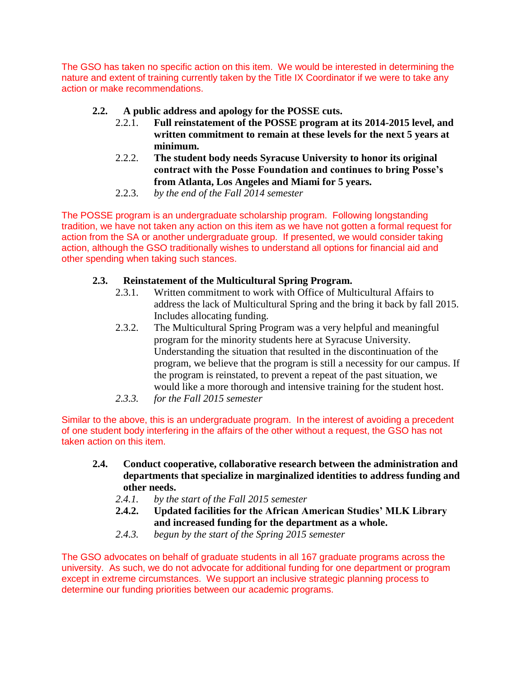The GSO has taken no specific action on this item. We would be interested in determining the nature and extent of training currently taken by the Title IX Coordinator if we were to take any action or make recommendations.

## **2.2. A public address and apology for the POSSE cuts.**

- 2.2.1. **Full reinstatement of the POSSE program at its 2014-2015 level, and written commitment to remain at these levels for the next 5 years at minimum.**
- 2.2.2. **The student body needs Syracuse University to honor its original contract with the Posse Foundation and continues to bring Posse's from Atlanta, Los Angeles and Miami for 5 years.**
- 2.2.3. *by the end of the Fall 2014 semester*

The POSSE program is an undergraduate scholarship program. Following longstanding tradition, we have not taken any action on this item as we have not gotten a formal request for action from the SA or another undergraduate group. If presented, we would consider taking action, although the GSO traditionally wishes to understand all options for financial aid and other spending when taking such stances.

## **2.3. Reinstatement of the Multicultural Spring Program.**

- 2.3.1. Written commitment to work with Office of Multicultural Affairs to address the lack of Multicultural Spring and the bring it back by fall 2015. Includes allocating funding.
- 2.3.2. The Multicultural Spring Program was a very helpful and meaningful program for the minority students here at Syracuse University. Understanding the situation that resulted in the discontinuation of the program, we believe that the program is still a necessity for our campus. If the program is reinstated, to prevent a repeat of the past situation, we would like a more thorough and intensive training for the student host.
- *2.3.3. for the Fall 2015 semester*

Similar to the above, this is an undergraduate program. In the interest of avoiding a precedent of one student body interfering in the affairs of the other without a request, the GSO has not taken action on this item.

- **2.4. Conduct cooperative, collaborative research between the administration and departments that specialize in marginalized identities to address funding and other needs.**
	- *2.4.1. by the start of the Fall 2015 semester*
	- **2.4.2. Updated facilities for the African American Studies' MLK Library and increased funding for the department as a whole.**
	- *2.4.3. begun by the start of the Spring 2015 semester*

The GSO advocates on behalf of graduate students in all 167 graduate programs across the university. As such, we do not advocate for additional funding for one department or program except in extreme circumstances. We support an inclusive strategic planning process to determine our funding priorities between our academic programs.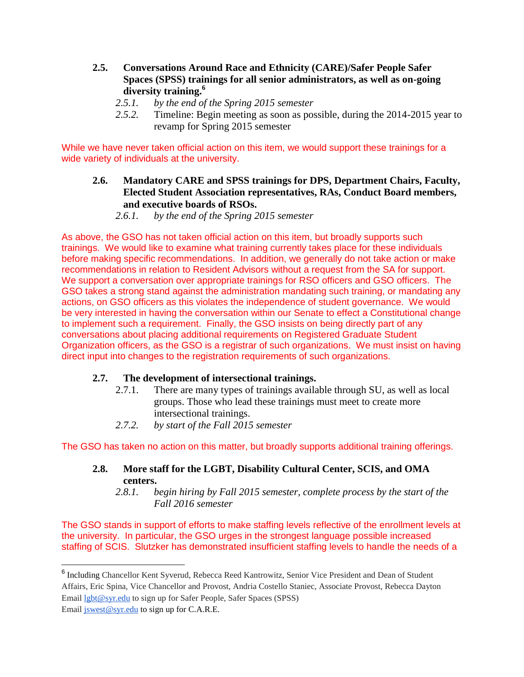- **2.5. Conversations Around Race and Ethnicity (CARE)/Safer People Safer Spaces (SPSS) trainings for all senior administrators, as well as on-going diversity training.<sup>6</sup>**
	- *2.5.1. by the end of the Spring 2015 semester*
	- *2.5.2.* Timeline: Begin meeting as soon as possible, during the 2014-2015 year to revamp for Spring 2015 semester

While we have never taken official action on this item, we would support these trainings for a wide variety of individuals at the university.

- **2.6. Mandatory CARE and SPSS trainings for DPS, Department Chairs, Faculty, Elected Student Association representatives, RAs, Conduct Board members, and executive boards of RSOs.**
	- *2.6.1. by the end of the Spring 2015 semester*

As above, the GSO has not taken official action on this item, but broadly supports such trainings. We would like to examine what training currently takes place for these individuals before making specific recommendations. In addition, we generally do not take action or make recommendations in relation to Resident Advisors without a request from the SA for support. We support a conversation over appropriate trainings for RSO officers and GSO officers. The GSO takes a strong stand against the administration mandating such training, or mandating any actions, on GSO officers as this violates the independence of student governance. We would be very interested in having the conversation within our Senate to effect a Constitutional change to implement such a requirement. Finally, the GSO insists on being directly part of any conversations about placing additional requirements on Registered Graduate Student Organization officers, as the GSO is a registrar of such organizations. We must insist on having direct input into changes to the registration requirements of such organizations.

## **2.7. The development of intersectional trainings.**

- 2.7.1. There are many types of trainings available through SU, as well as local groups. Those who lead these trainings must meet to create more intersectional trainings.
- *2.7.2. by start of the Fall 2015 semester*

The GSO has taken no action on this matter, but broadly supports additional training offerings.

## **2.8. More staff for the LGBT, Disability Cultural Center, SCIS, and OMA centers.**

*2.8.1. begin hiring by Fall 2015 semester, complete process by the start of the Fall 2016 semester*

The GSO stands in support of efforts to make staffing levels reflective of the enrollment levels at the university. In particular, the GSO urges in the strongest language possible increased staffing of SCIS. Slutzker has demonstrated insufficient staffing levels to handle the needs of a

 $\overline{a}$ 

<sup>&</sup>lt;sup>6</sup> Including Chancellor Kent Syverud, Rebecca Reed Kantrowitz, Senior Vice President and Dean of Student Affairs, Eric Spina, Vice Chancellor and Provost, Andria Costello Staniec, Associate Provost, Rebecca Dayton Email [lgbt@syr.edu](mailto:lgbt@syr.edu) to sign up for Safer People, Safer Spaces (SPSS)

Email [jswest@syr.edu](mailto:jswest@syr.edu) to sign up for C.A.R.E.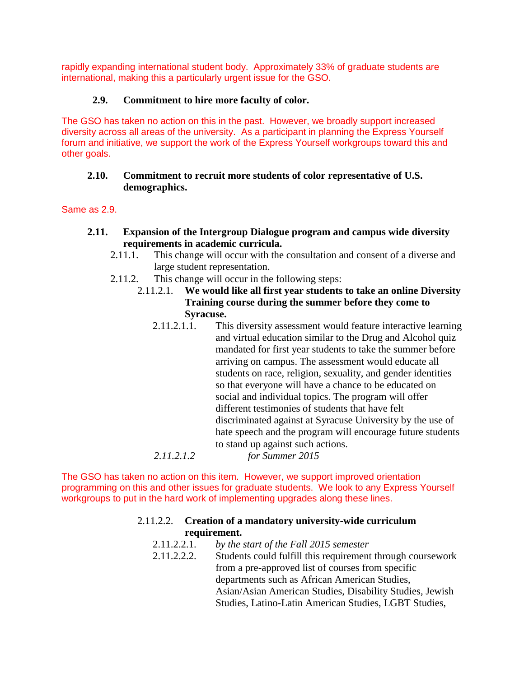rapidly expanding international student body. Approximately 33% of graduate students are international, making this a particularly urgent issue for the GSO.

## **2.9. Commitment to hire more faculty of color.**

The GSO has taken no action on this in the past. However, we broadly support increased diversity across all areas of the university. As a participant in planning the Express Yourself forum and initiative, we support the work of the Express Yourself workgroups toward this and other goals.

## **2.10. Commitment to recruit more students of color representative of U.S. demographics.**

Same as 2.9.

- **2.11. Expansion of the Intergroup Dialogue program and campus wide diversity requirements in academic curricula.**
	- 2.11.1. This change will occur with the consultation and consent of a diverse and large student representation.
	- 2.11.2. This change will occur in the following steps:
		- 2.11.2.1. **We would like all first year students to take an online Diversity Training course during the summer before they come to Syracuse.**
			- 2.11.2.1.1. This diversity assessment would feature interactive learning and virtual education similar to the Drug and Alcohol quiz mandated for first year students to take the summer before arriving on campus. The assessment would educate all students on race, religion, sexuality, and gender identities so that everyone will have a chance to be educated on social and individual topics. The program will offer different testimonies of students that have felt discriminated against at Syracuse University by the use of hate speech and the program will encourage future students to stand up against such actions.

```
2.11.2.1.2 for Summer 2015
```
The GSO has taken no action on this item. However, we support improved orientation programming on this and other issues for graduate students. We look to any Express Yourself workgroups to put in the hard work of implementing upgrades along these lines.

#### 2.11.2.2. **Creation of a mandatory university-wide curriculum requirement.**

- 2.11.2.2.1. *by the start of the Fall 2015 semester*
- 2.11.2.2.2. Students could fulfill this requirement through coursework from a pre-approved list of courses from specific departments such as African American Studies, Asian/Asian American Studies, Disability Studies, Jewish Studies, Latino-Latin American Studies, LGBT Studies,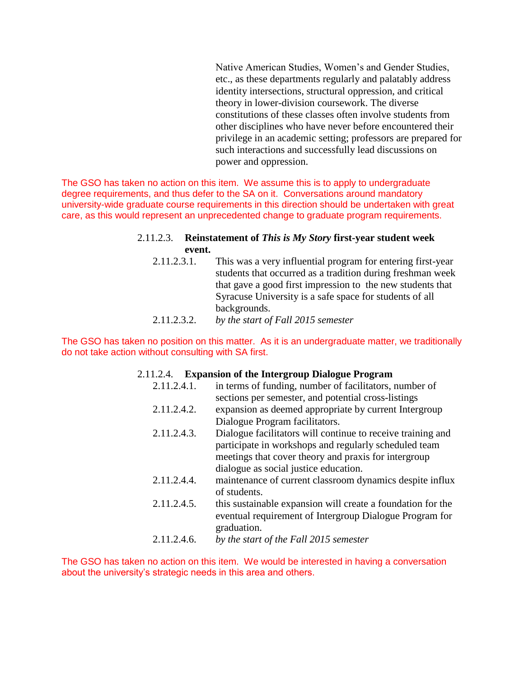Native American Studies, Women's and Gender Studies, etc., as these departments regularly and palatably address identity intersections, structural oppression, and critical theory in lower-division coursework. The diverse constitutions of these classes often involve students from other disciplines who have never before encountered their privilege in an academic setting; professors are prepared for such interactions and successfully lead discussions on power and oppression.

The GSO has taken no action on this item. We assume this is to apply to undergraduate degree requirements, and thus defer to the SA on it. Conversations around mandatory university-wide graduate course requirements in this direction should be undertaken with great care, as this would represent an unprecedented change to graduate program requirements.

#### 2.11.2.3. **Reinstatement of** *This is My Story* **first-year student week event.**

- 2.11.2.3.1. This was a very influential program for entering first-year students that occurred as a tradition during freshman week that gave a good first impression to the new students that Syracuse University is a safe space for students of all backgrounds.
- 2.11.2.3.2. *by the start of Fall 2015 semester*

The GSO has taken no position on this matter. As it is an undergraduate matter, we traditionally do not take action without consulting with SA first.

#### 2.11.2.4. **Expansion of the Intergroup Dialogue Program**

| 2.11.2.4.1. | in terms of funding, number of facilitators, number of      |
|-------------|-------------------------------------------------------------|
|             | sections per semester, and potential cross-listings         |
| 2.11.2.4.2. | expansion as deemed appropriate by current Intergroup       |
|             | Dialogue Program facilitators.                              |
| 2.11.2.4.3. | Dialogue facilitators will continue to receive training and |
|             | participate in workshops and regularly scheduled team       |
|             | meetings that cover theory and praxis for intergroup        |
|             | dialogue as social justice education.                       |
| 2.11.2.4.4. | maintenance of current classroom dynamics despite influx    |
|             | of students.                                                |
| 2.11.2.4.5. | this sustainable expansion will create a foundation for the |
|             | eventual requirement of Intergroup Dialogue Program for     |
|             | graduation.                                                 |
| 2.11.2.4.6. | by the start of the Fall 2015 semester                      |

The GSO has taken no action on this item. We would be interested in having a conversation about the university's strategic needs in this area and others.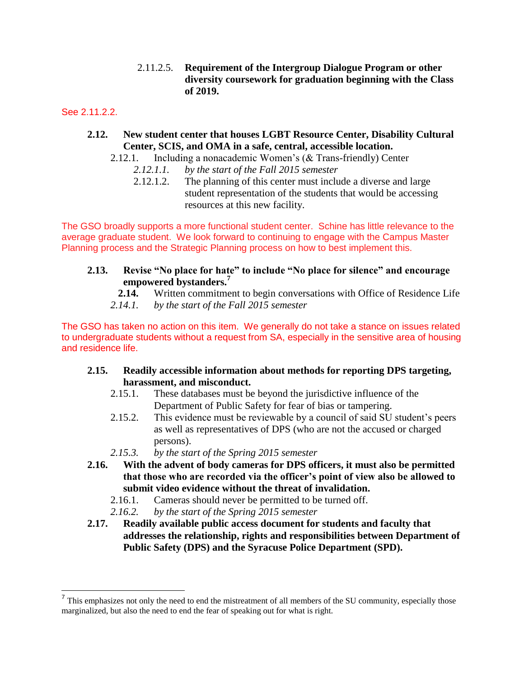2.11.2.5. **Requirement of the Intergroup Dialogue Program or other diversity coursework for graduation beginning with the Class of 2019.**

See 2.11.2.2.

#### **2.12. New student center that houses LGBT Resource Center, Disability Cultural Center, SCIS, and OMA in a safe, central, accessible location.**

- 2.12.1. Including a nonacademic Women's (& Trans-friendly) Center
	- *2.12.1.1. by the start of the Fall 2015 semester*
	- 2.12.1.2. The planning of this center must include a diverse and large student representation of the students that would be accessing resources at this new facility.

The GSO broadly supports a more functional student center. Schine has little relevance to the average graduate student. We look forward to continuing to engage with the Campus Master Planning process and the Strategic Planning process on how to best implement this.

#### **2.13. Revise "No place for hate" to include "No place for silence" and encourage empowered bystanders.<sup>7</sup>**

- **2.14.** Written commitment to begin conversations with Office of Residence Life
- *2.14.1. by the start of the Fall 2015 semester*

The GSO has taken no action on this item. We generally do not take a stance on issues related to undergraduate students without a request from SA, especially in the sensitive area of housing and residence life.

- **2.15. Readily accessible information about methods for reporting DPS targeting, harassment, and misconduct.**
	- 2.15.1. These databases must be beyond the jurisdictive influence of the Department of Public Safety for fear of bias or tampering.
	- 2.15.2. This evidence must be reviewable by a council of said SU student's peers as well as representatives of DPS (who are not the accused or charged persons).
	- *2.15.3. by the start of the Spring 2015 semester*
- **2.16. With the advent of body cameras for DPS officers, it must also be permitted that those who are recorded via the officer's point of view also be allowed to submit video evidence without the threat of invalidation.** 
	- 2.16.1. Cameras should never be permitted to be turned off.
	- *2.16.2. by the start of the Spring 2015 semester*
- **2.17. Readily available public access document for students and faculty that addresses the relationship, rights and responsibilities between Department of Public Safety (DPS) and the Syracuse Police Department (SPD).**

<sup>&</sup>lt;sup>7</sup> This emphasizes not only the need to end the mistreatment of all members of the SU community, especially those marginalized, but also the need to end the fear of speaking out for what is right.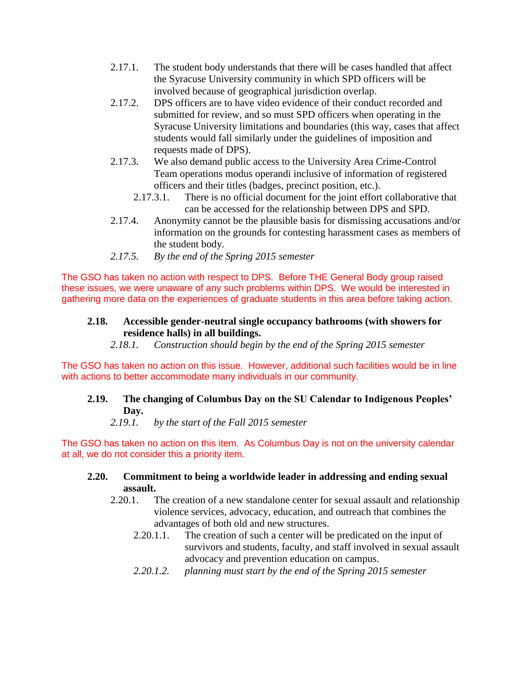- 2.17.1. The student body understands that there will be cases handled that affect the Syracuse University community in which SPD officers will be involved because of geographical jurisdiction overlap.
- 2.17.2. DPS officers are to have video evidence of their conduct recorded and submitted for review, and so must SPD officers when operating in the Syracuse University limitations and boundaries (this way, cases that affect students would fall similarly under the guidelines of imposition and requests made of DPS).
- 2.17.3. We also demand public access to the University Area Crime-Control Team operations modus operandi inclusive of information of registered officers and their titles (badges, precinct position, etc.).
	- 2.17.3.1. There is no official document for the joint effort collaborative that can be accessed for the relationship between DPS and SPD.
- 2.17.4. Anonymity cannot be the plausible basis for dismissing accusations and/or information on the grounds for contesting harassment cases as members of the student body.
- *2.17.5. By the end of the Spring 2015 semester*

The GSO has taken no action with respect to DPS. Before THE General Body group raised these issues, we were unaware of any such problems within DPS. We would be interested in gathering more data on the experiences of graduate students in this area before taking action.

#### **2.18. Accessible gender-neutral single occupancy bathrooms (with showers for residence halls) in all buildings.**

*2.18.1. Construction should begin by the end of the Spring 2015 semester*

The GSO has taken no action on this issue. However, additional such facilities would be in line with actions to better accommodate many individuals in our community.

## **2.19. The changing of Columbus Day on the SU Calendar to Indigenous Peoples' Day.**

*2.19.1. by the start of the Fall 2015 semester*

The GSO has taken no action on this item. As Columbus Day is not on the university calendar at all, we do not consider this a priority item.

## **2.20. Commitment to being a worldwide leader in addressing and ending sexual assault.**

- 2.20.1. The creation of a new standalone center for sexual assault and relationship violence services, advocacy, education, and outreach that combines the advantages of both old and new structures.
	- 2.20.1.1. The creation of such a center will be predicated on the input of survivors and students, faculty, and staff involved in sexual assault advocacy and prevention education on campus.
	- *2.20.1.2. planning must start by the end of the Spring 2015 semester*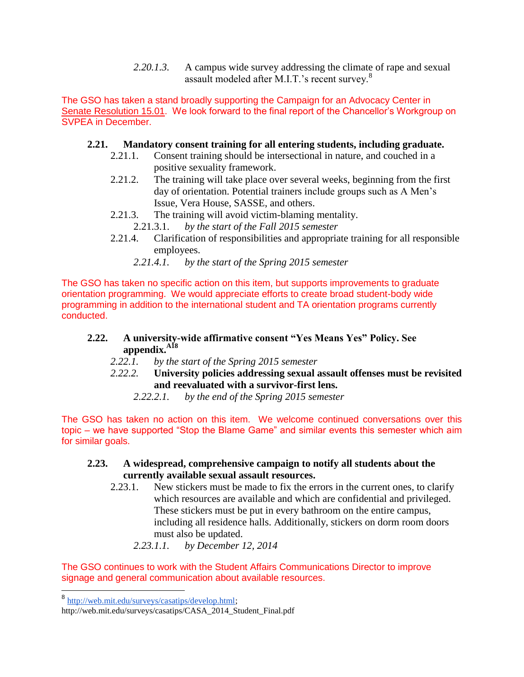*2.20.1.3.* A campus wide survey addressing the climate of rape and sexual assault modeled after M.I.T.'s recent survey.<sup>8</sup>

The GSO has taken a stand broadly supporting the Campaign for an Advocacy Center in [Senate Resolution 15.01.](http://gradorg.syr.edu/wp-content/uploads/2012/08/15.01-Senate-Resolution-Advocacy-Center.pdf) We look forward to the final report of the Chancellor's Workgroup on SVPEA in December.

## **2.21. Mandatory consent training for all entering students, including graduate.**

- 2.21.1. Consent training should be intersectional in nature, and couched in a positive sexuality framework.
- 2.21.2. The training will take place over several weeks, beginning from the first day of orientation. Potential trainers include groups such as A Men's Issue, Vera House, SASSE, and others.
- 2.21.3. The training will avoid victim-blaming mentality.
	- 2.21.3.1. *by the start of the Fall 2015 semester*
- 2.21.4. Clarification of responsibilities and appropriate training for all responsible employees.
	- *2.21.4.1. by the start of the Spring 2015 semester*

The GSO has taken no specific action on this item, but supports improvements to graduate orientation programming. We would appreciate efforts to create broad student-body wide programming in addition to the international student and TA orientation programs currently conducted.

## **2.22. A university-wide affirmative consent "Yes Means Yes" Policy. See appendix.A18**

- *2.22.1. by the start of the Spring 2015 semester*
- *2.22.2.* **University policies addressing sexual assault offenses must be revisited and reevaluated with a survivor-first lens.**
	- *2.22.2.1. by the end of the Spring 2015 semester*

The GSO has taken no action on this item. We welcome continued conversations over this topic – we have supported "Stop the Blame Game" and similar events this semester which aim for similar goals.

#### **2.23. A widespread, comprehensive campaign to notify all students about the currently available sexual assault resources.**

- 2.23.1. New stickers must be made to fix the errors in the current ones, to clarify which resources are available and which are confidential and privileged. These stickers must be put in every bathroom on the entire campus, including all residence halls. Additionally, stickers on dorm room doors must also be updated.
	- *2.23.1.1. by December 12, 2014*

The GSO continues to work with the Student Affairs Communications Director to improve signage and general communication about available resources.

<sup>8&</sup>lt;br>[http://web.mit.edu/surveys/casatips/develop.html;](http://web.mit.edu/surveys/casatips/develop.html)

http://web.mit.edu/surveys/casatips/CASA\_2014\_Student\_Final.pdf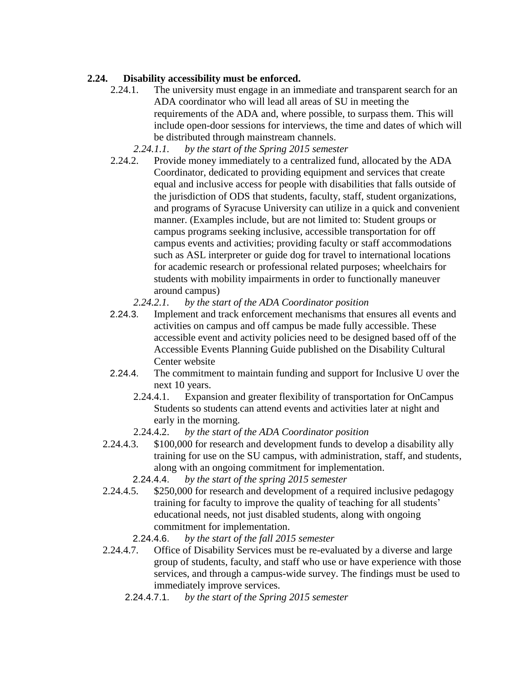## **2.24. Disability accessibility must be enforced.**

- 2.24.1. The university must engage in an immediate and transparent search for an ADA coordinator who will lead all areas of SU in meeting the requirements of the ADA and, where possible, to surpass them. This will include open-door sessions for interviews, the time and dates of which will be distributed through mainstream channels.
	- *2.24.1.1. by the start of the Spring 2015 semester*
- 2.24.2. Provide money immediately to a centralized fund, allocated by the ADA Coordinator, dedicated to providing equipment and services that create equal and inclusive access for people with disabilities that falls outside of the jurisdiction of ODS that students, faculty, staff, student organizations, and programs of Syracuse University can utilize in a quick and convenient manner. (Examples include, but are not limited to: Student groups or campus programs seeking inclusive, accessible transportation for off campus events and activities; providing faculty or staff accommodations such as ASL interpreter or guide dog for travel to international locations for academic research or professional related purposes; wheelchairs for students with mobility impairments in order to functionally maneuver around campus)
	- *2.24.2.1. by the start of the ADA Coordinator position*
- 2.24.3. Implement and track enforcement mechanisms that ensures all events and activities on campus and off campus be made fully accessible. These accessible event and activity policies need to be designed based off of the Accessible Events Planning Guide published on the Disability Cultural Center website
- 2.24.4. The commitment to maintain funding and support for Inclusive U over the next 10 years.
	- 2.24.4.1. Expansion and greater flexibility of transportation for OnCampus Students so students can attend events and activities later at night and early in the morning.
	- 2.24.4.2. *by the start of the ADA Coordinator position*
- 2.24.4.3. \$100,000 for research and development funds to develop a disability ally training for use on the SU campus, with administration, staff, and students, along with an ongoing commitment for implementation.
	- 2.24.4.4. *by the start of the spring 2015 semester*
- 2.24.4.5. \$250,000 for research and development of a required inclusive pedagogy training for faculty to improve the quality of teaching for all students' educational needs, not just disabled students, along with ongoing commitment for implementation.
	- 2.24.4.6. *by the start of the fall 2015 semester*
- 2.24.4.7. Office of Disability Services must be re-evaluated by a diverse and large group of students, faculty, and staff who use or have experience with those services, and through a campus-wide survey. The findings must be used to immediately improve services.
	- 2.24.4.7.1. *by the start of the Spring 2015 semester*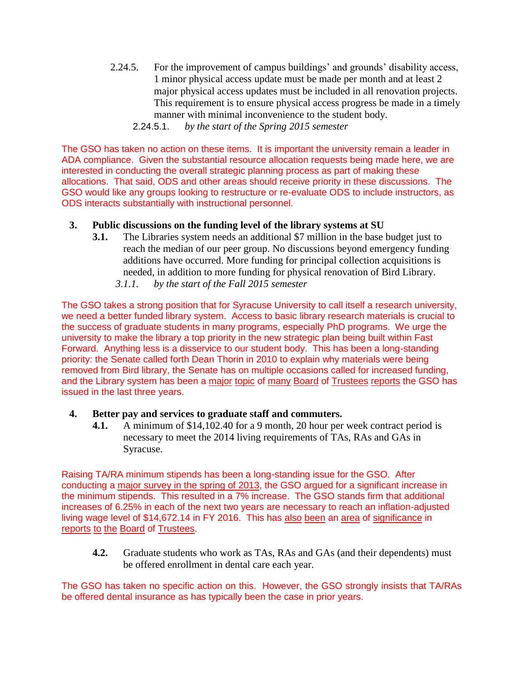- 2.24.5. For the improvement of campus buildings' and grounds' disability access, 1 minor physical access update must be made per month and at least 2 major physical access updates must be included in all renovation projects. This requirement is to ensure physical access progress be made in a timely manner with minimal inconvenience to the student body.
	- 2.24.5.1. *by the start of the Spring 2015 semester*

The GSO has taken no action on these items. It is important the university remain a leader in ADA compliance. Given the substantial resource allocation requests being made here, we are interested in conducting the overall strategic planning process as part of making these allocations. That said, ODS and other areas should receive priority in these discussions. The GSO would like any groups looking to restructure or re-evaluate ODS to include instructors, as ODS interacts substantially with instructional personnel.

#### **3. Public discussions on the funding level of the library systems at SU**

- **3.1.** The Libraries system needs an additional \$7 million in the base budget just to reach the median of our peer group. No discussions beyond emergency funding additions have occurred. More funding for principal collection acquisitions is needed, in addition to more funding for physical renovation of Bird Library.
	- *3.1.1. by the start of the Fall 2015 semester*

The GSO takes a strong position that for Syracuse University to call itself a research university, we need a better funded library system. Access to basic library research materials is crucial to the success of graduate students in many programs, especially PhD programs. We urge the university to make the library a top priority in the new strategic plan being built within Fast Forward. Anything less is a disservice to our student body. This has been a long-standing priority: the Senate called forth Dean Thorin in 2010 to explain why materials were being removed from Bird library, the Senate has on multiple occasions called for increased funding, and the Library system has been a [major](http://gradorg.syr.edu/wp-content/uploads/2012/06/2011-10-BOT-Report.pdf) [topic](http://gradorg.syr.edu/wp-content/uploads/2012/06/2012-03-BOT-Report.pdf) of [many](http://gradorg.syr.edu/wp-content/uploads/2012/06/2014-03-06-BoT-ExComm-Report.pdf) [Board](http://gradorg.syr.edu/wp-content/uploads/2012/06/2014-05-10-Board-of-Trustees-Report.pdf) of [Trustees](http://gradorg.syr.edu/wp-content/uploads/2012/06/2014-10-09-Trustees-Executive-Committee-Report.pdf) [reports](http://gradorg.syr.edu/wp-content/uploads/2012/06/2014-11-07-Board-of-Trustees-Graduate-Report.pdf) the GSO has issued in the last three years.

#### **4. Better pay and services to graduate staff and commuters.**

**4.1.** A minimum of \$14,102.40 for a 9 month, 20 hour per week contract period is necessary to meet the 2014 living requirements of TAs, RAs and GAs in Syracuse.

Raising TA/RA minimum stipends has been a long-standing issue for the GSO. After conducting a [major survey in the spring of 2013,](http://gradorg.syr.edu/resources/survey-results/) the GSO argued for a significant increase in the minimum stipends. This resulted in a 7% increase. The GSO stands firm that additional increases of 6.25% in each of the next two years are necessary to reach an inflation-adjusted living wage level of \$14,672.14 in FY 2016. This has [also](http://gradorg.syr.edu/wp-content/uploads/2012/06/2013-06-07-BoT-ExComm-Report.pdf) [been](http://gradorg.syr.edu/wp-content/uploads/2012/06/2013-09-12-BoT-ExComm-Report.pdf) an [area](http://gradorg.syr.edu/wp-content/uploads/2012/06/2013-10-10-Trustees-Report-Grad-Student-Rep.pdf) of [significance](http://gradorg.syr.edu/wp-content/uploads/2012/06/2013-11-08-Board-of-Trustees-Report.pdf) in [reports](http://gradorg.syr.edu/wp-content/uploads/2012/06/2014-03-06-BoT-ExComm-Report.pdf) [to](http://gradorg.syr.edu/wp-content/uploads/2012/06/2014-04-03-BoT-ExComm-Report.pdf) [the](http://gradorg.syr.edu/wp-content/uploads/2012/06/2014-05-10-Board-of-Trustees-Report.pdf) [Board](http://gradorg.syr.edu/wp-content/uploads/2012/06/2014-10-09-Trustees-Executive-Committee-Report.pdf) of [Trustees.](http://gradorg.syr.edu/wp-content/uploads/2012/06/2014-11-07-Board-of-Trustees-Graduate-Report.pdf)

**4.2.** Graduate students who work as TAs, RAs and GAs (and their dependents) must be offered enrollment in dental care each year.

The GSO has taken no specific action on this. However, the GSO strongly insists that TA/RAs be offered dental insurance as has typically been the case in prior years.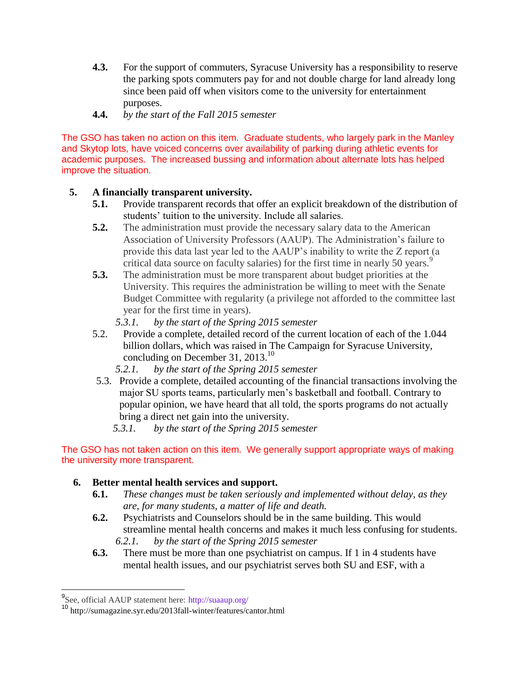- **4.3.** For the support of commuters, Syracuse University has a responsibility to reserve the parking spots commuters pay for and not double charge for land already long since been paid off when visitors come to the university for entertainment purposes.
- **4.4.** *by the start of the Fall 2015 semester*

The GSO has taken no action on this item. Graduate students, who largely park in the Manley and Skytop lots, have voiced concerns over availability of parking during athletic events for academic purposes. The increased bussing and information about alternate lots has helped improve the situation.

## **5. A financially transparent university.**

- **5.1.** Provide transparent records that offer an explicit breakdown of the distribution of students' tuition to the university. Include all salaries.
- **5.2.** The administration must provide the necessary salary data to the American Association of University Professors (AAUP). The Administration's failure to provide this data last year led to the AAUP's inability to write the Z report (a critical data source on faculty salaries) for the first time in nearly 50 years.<sup>9</sup>
- **5.3.** The administration must be more transparent about budget priorities at the University. This requires the administration be willing to meet with the Senate Budget Committee with regularity (a privilege not afforded to the committee last year for the first time in years).
	- *5.3.1. by the start of the Spring 2015 semester*
- 5.2. Provide a complete, detailed record of the current location of each of the 1.044 billion dollars, which was raised in The Campaign for Syracuse University, concluding on December 31, 2013.<sup>10</sup>
	- *5.2.1. by the start of the Spring 2015 semester*
- 5.3. Provide a complete, detailed accounting of the financial transactions involving the major SU sports teams, particularly men's basketball and football. Contrary to popular opinion, we have heard that all told, the sports programs do not actually bring a direct net gain into the university.
	- *5.3.1. by the start of the Spring 2015 semester*

#### The GSO has not taken action on this item. We generally support appropriate ways of making the university more transparent.

## **6. Better mental health services and support.**

- **6.1.** *These changes must be taken seriously and implemented without delay, as they are, for many students, a matter of life and death.*
- **6.2.** Psychiatrists and Counselors should be in the same building. This would streamline mental health concerns and makes it much less confusing for students. *6.2.1. by the start of the Spring 2015 semester*
- **6.3.** There must be more than one psychiatrist on campus. If 1 in 4 students have mental health issues, and our psychiatrist serves both SU and ESF, with a

<sup>&</sup>lt;sup>9</sup><br>[See, official AAUP statement here:](http://dailyorange.com/2014/10/su-should-install-gender-neutral-bathrooms/) <http://suaaup.org/>

<sup>10&</sup>lt;br>10 http://sumagazine.syr.edu/2013fall-winter/features/cantor.html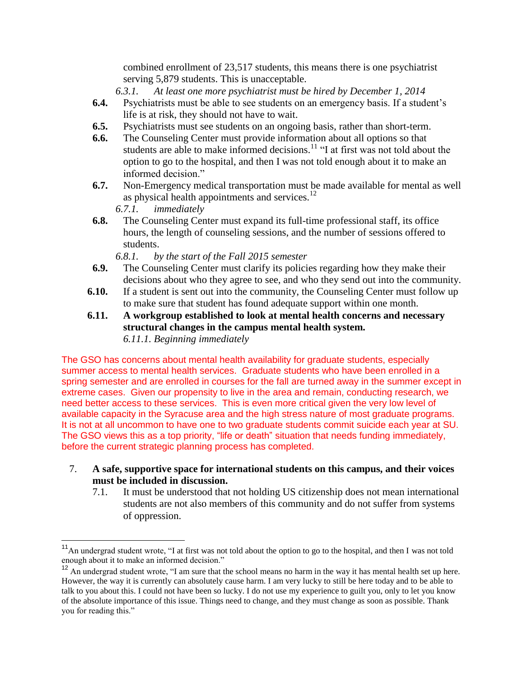combined enrollment of 23,517 students, this means there is one psychiatrist serving 5,879 students. This is unacceptable.

*6.3.1. At least one more psychiatrist must be hired by December 1, 2014*

- **6.4.** Psychiatrists must be able to see students on an emergency basis. If a student's life is at risk, they should not have to wait.
- **6.5.** Psychiatrists must see students on an ongoing basis, rather than short-term.
- **6.6.** The Counseling Center must provide information about all options so that students are able to make informed decisions.<sup>11</sup> "I at first was not told about the option to go to the hospital, and then I was not told enough about it to make an informed decision."
- **6.7.** Non-Emergency medical transportation must be made available for mental as well as physical health appointments and services.<sup>12</sup>
	- *6.7.1. immediately*

**6.8.** The Counseling Center must expand its full-time professional staff, its office hours, the length of counseling sessions, and the number of sessions offered to students.

*6.8.1. by the start of the Fall 2015 semester*

- **6.9.** The Counseling Center must clarify its policies regarding how they make their decisions about who they agree to see, and who they send out into the community.
- **6.10.** If a student is sent out into the community, the Counseling Center must follow up to make sure that student has found adequate support within one month.
- **6.11. A workgroup established to look at mental health concerns and necessary structural changes in the campus mental health system.** *6.11.1. Beginning immediately*

The GSO has concerns about mental health availability for graduate students, especially summer access to mental health services. Graduate students who have been enrolled in a spring semester and are enrolled in courses for the fall are turned away in the summer except in extreme cases. Given our propensity to live in the area and remain, conducting research, we need better access to these services. This is even more critical given the very low level of available capacity in the Syracuse area and the high stress nature of most graduate programs. It is not at all uncommon to have one to two graduate students commit suicide each year at SU. The GSO views this as a top priority, "life or death" situation that needs funding immediately, before the current strategic planning process has completed.

- 7. **A safe, supportive space for international students on this campus, and their voices must be included in discussion.**
	- 7.1. It must be understood that not holding US citizenship does not mean international students are not also members of this community and do not suffer from systems of oppression.

<sup>&</sup>lt;sup>11</sup>An undergrad student wrote, "I at first was not told about the option to go to the hospital, and then I was not told enough about it to make an informed decision."

 $12$  An undergrad student wrote, "I am sure that the school means no harm in the way it has mental health set up here. However, the way it is currently can absolutely cause harm. I am very lucky to still be here today and to be able to talk to you about this. I could not have been so lucky. I do not use my experience to guilt you, only to let you know of the absolute importance of this issue. Things need to change, and they must change as soon as possible. Thank you for reading this."